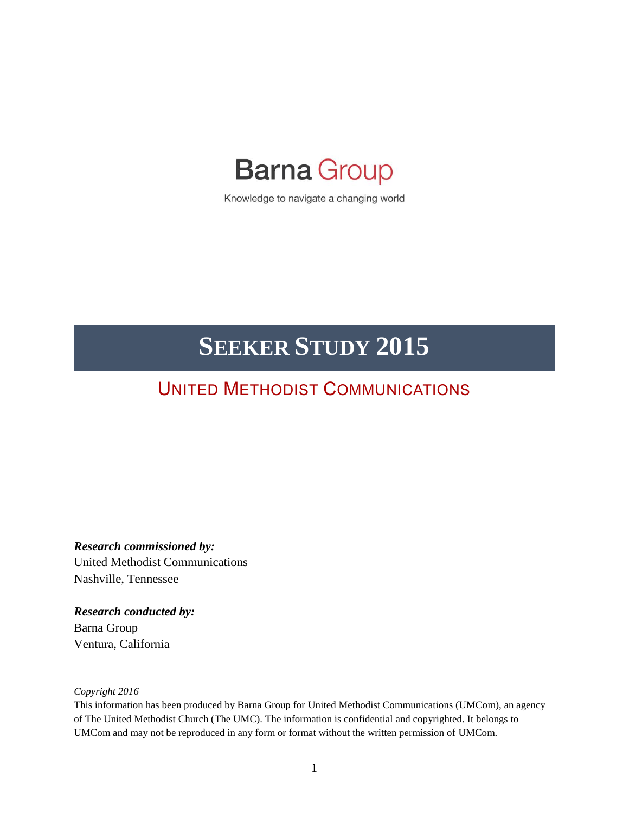# **Barna Group**

Knowledge to navigate a changing world

# **SEEKER STUDY 2015**

# UNITED METHODIST COMMUNICATIONS

*Research commissioned by:* United Methodist Communications Nashville, Tennessee

*Research conducted by:* Barna Group Ventura, California

*Copyright 2016*

This information has been produced by Barna Group for United Methodist Communications (UMCom), an agency of The United Methodist Church (The UMC). The information is confidential and copyrighted. It belongs to UMCom and may not be reproduced in any form or format without the written permission of UMCom.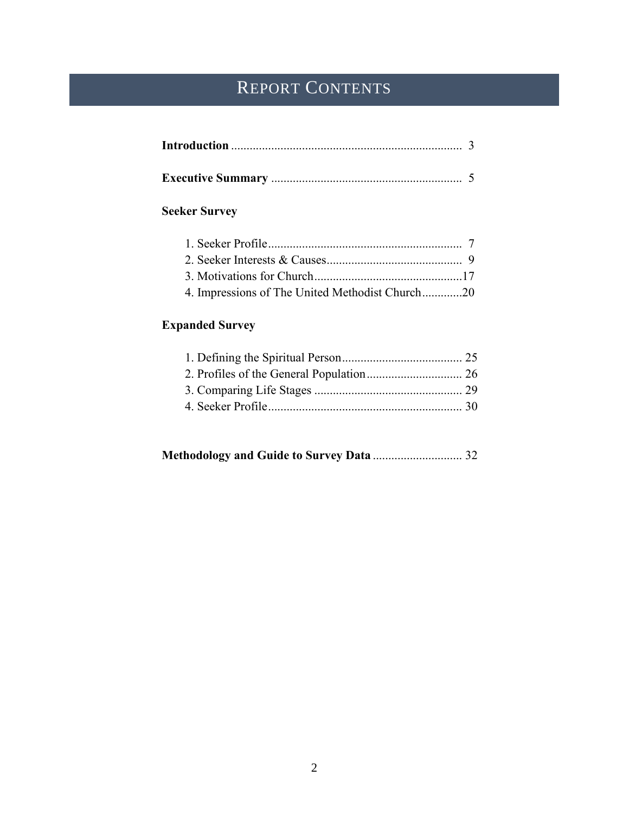# REPORT CONTENTS

## **Seeker Survey**

| 4. Impressions of The United Methodist Church20 |  |
|-------------------------------------------------|--|

## **Expanded Survey**

|--|--|--|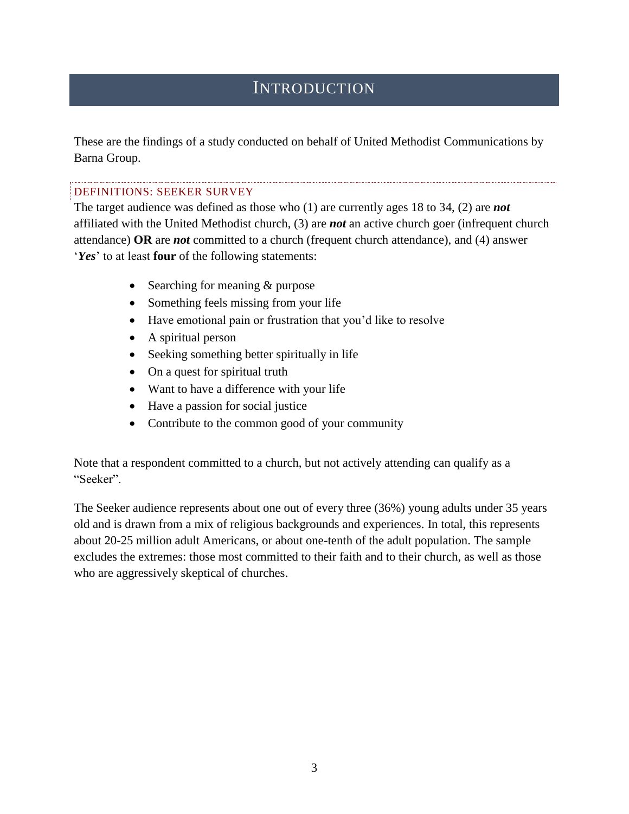## **INTRODUCTION**

These are the findings of a study conducted on behalf of United Methodist Communications by Barna Group.

#### DEFINITIONS: SEEKER SURVEY

The target audience was defined as those who (1) are currently ages 18 to 34, (2) are *not* affiliated with the United Methodist church, (3) are *not* an active church goer (infrequent church attendance) **OR** are *not* committed to a church (frequent church attendance), and (4) answer '*Yes*' to at least **four** of the following statements:

- Searching for meaning & purpose
- Something feels missing from your life
- Have emotional pain or frustration that you'd like to resolve
- A spiritual person
- Seeking something better spiritually in life
- On a quest for spiritual truth
- Want to have a difference with your life
- Have a passion for social justice
- Contribute to the common good of your community

Note that a respondent committed to a church, but not actively attending can qualify as a "Seeker".

The Seeker audience represents about one out of every three (36%) young adults under 35 years old and is drawn from a mix of religious backgrounds and experiences. In total, this represents about 20-25 million adult Americans, or about one-tenth of the adult population. The sample excludes the extremes: those most committed to their faith and to their church, as well as those who are aggressively skeptical of churches.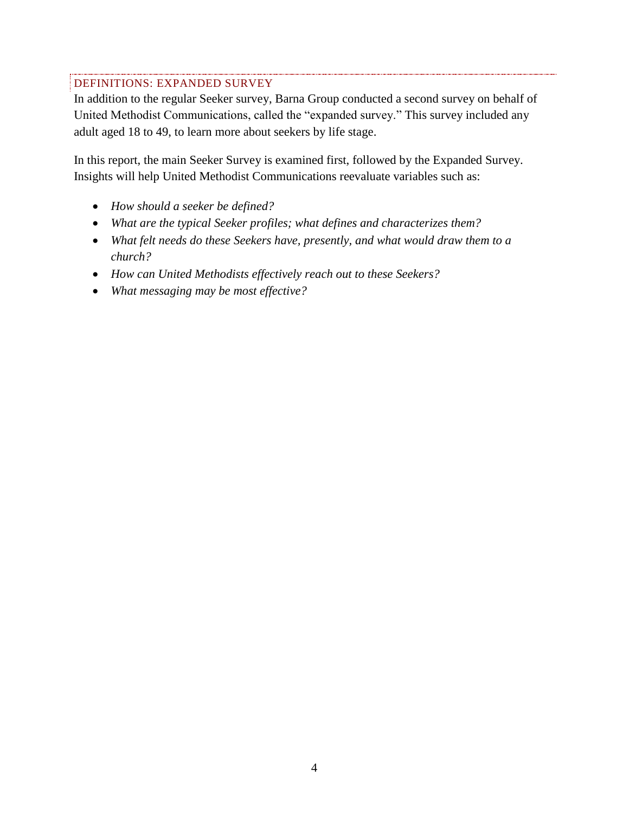#### DEFINITIONS: EXPANDED SURVEY

In addition to the regular Seeker survey, Barna Group conducted a second survey on behalf of United Methodist Communications, called the "expanded survey." This survey included any adult aged 18 to 49, to learn more about seekers by life stage.

In this report, the main Seeker Survey is examined first, followed by the Expanded Survey. Insights will help United Methodist Communications reevaluate variables such as:

- *How should a seeker be defined?*
- *What are the typical Seeker profiles; what defines and characterizes them?*
- *What felt needs do these Seekers have, presently, and what would draw them to a church?*
- *How can United Methodists effectively reach out to these Seekers?*
- *What messaging may be most effective?*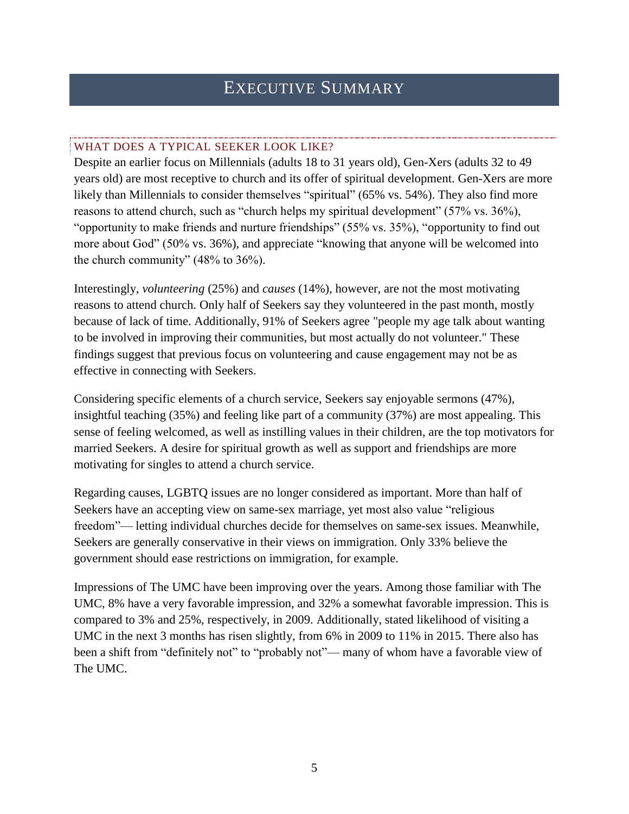# EXECUTIVE SUMMARY

#### WHAT DOES A TYPICAL SEEKER LOOK LIKE?

Despite an earlier focus on Millennials (adults 18 to 31 years old), Gen-Xers (adults 32 to 49 years old) are most receptive to church and its offer of spiritual development. Gen-Xers are more likely than Millennials to consider themselves "spiritual" (65% vs. 54%). They also find more reasons to attend church, such as "church helps my spiritual development" (57% vs. 36%), "opportunity to make friends and nurture friendships" (55% vs. 35%), "opportunity to find out more about God" (50% vs. 36%), and appreciate "knowing that anyone will be welcomed into the church community" (48% to 36%).

Interestingly, *volunteering* (25%) and *causes* (14%), however, are not the most motivating reasons to attend church. Only half of Seekers say they volunteered in the past month, mostly because of lack of time. Additionally, 91% of Seekers agree "people my age talk about wanting to be involved in improving their communities, but most actually do not volunteer." These findings suggest that previous focus on volunteering and cause engagement may not be as effective in connecting with Seekers.

Considering specific elements of a church service, Seekers say enjoyable sermons (47%), insightful teaching (35%) and feeling like part of a community (37%) are most appealing. This sense of feeling welcomed, as well as instilling values in their children, are the top motivators for married Seekers. A desire for spiritual growth as well as support and friendships are more motivating for singles to attend a church service.

Regarding causes, LGBTQ issues are no longer considered as important. More than half of Seekers have an accepting view on same-sex marriage, yet most also value "religious freedom"— letting individual churches decide for themselves on same-sex issues. Meanwhile, Seekers are generally conservative in their views on immigration. Only 33% believe the government should ease restrictions on immigration, for example.

Impressions of The UMC have been improving over the years. Among those familiar with The UMC, 8% have a very favorable impression, and 32% a somewhat favorable impression. This is compared to 3% and 25%, respectively, in 2009. Additionally, stated likelihood of visiting a UMC in the next 3 months has risen slightly, from 6% in 2009 to 11% in 2015. There also has been a shift from "definitely not" to "probably not"— many of whom have a favorable view of The UMC.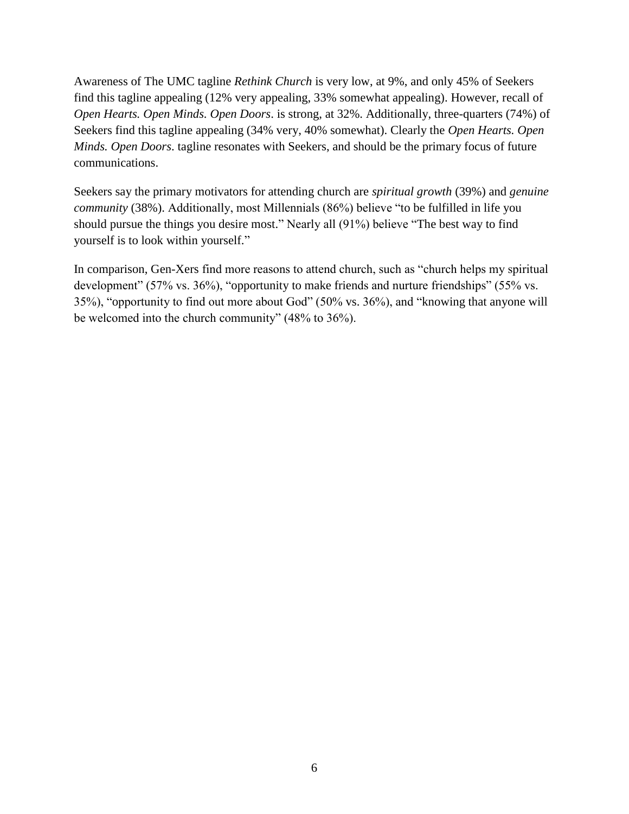Awareness of The UMC tagline *Rethink Church* is very low, at 9%, and only 45% of Seekers find this tagline appealing (12% very appealing, 33% somewhat appealing). However, recall of *Open Hearts. Open Minds. Open Doors*. is strong, at 32%. Additionally, three-quarters (74%) of Seekers find this tagline appealing (34% very, 40% somewhat). Clearly the *Open Hearts. Open Minds. Open Doors*. tagline resonates with Seekers, and should be the primary focus of future communications.

Seekers say the primary motivators for attending church are *spiritual growth* (39%) and *genuine community* (38%). Additionally, most Millennials (86%) believe "to be fulfilled in life you should pursue the things you desire most." Nearly all (91%) believe "The best way to find yourself is to look within yourself."

In comparison, Gen-Xers find more reasons to attend church, such as "church helps my spiritual development" (57% vs. 36%), "opportunity to make friends and nurture friendships" (55% vs. 35%), "opportunity to find out more about God" (50% vs. 36%), and "knowing that anyone will be welcomed into the church community" (48% to 36%).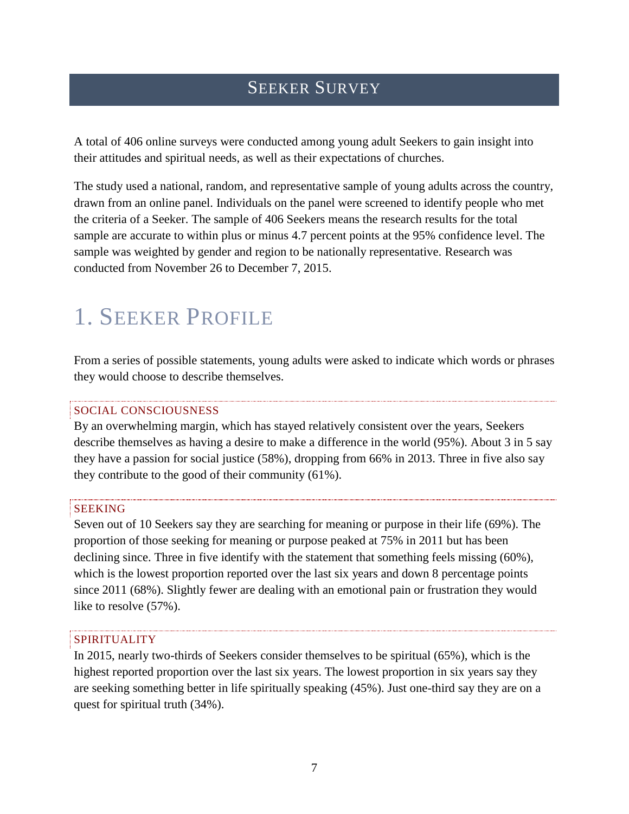# SEEKER SURVEY

A total of 406 online surveys were conducted among young adult Seekers to gain insight into their attitudes and spiritual needs, as well as their expectations of churches.

The study used a national, random, and representative sample of young adults across the country, drawn from an online panel. Individuals on the panel were screened to identify people who met the criteria of a Seeker. The sample of 406 Seekers means the research results for the total sample are accurate to within plus or minus 4.7 percent points at the 95% confidence level. The sample was weighted by gender and region to be nationally representative. Research was conducted from November 26 to December 7, 2015.

# 1. SEEKER PROFILE

From a series of possible statements, young adults were asked to indicate which words or phrases they would choose to describe themselves.

#### SOCIAL CONSCIOUSNESS

By an overwhelming margin, which has stayed relatively consistent over the years, Seekers describe themselves as having a desire to make a difference in the world (95%). About 3 in 5 say they have a passion for social justice (58%), dropping from 66% in 2013. Three in five also say they contribute to the good of their community (61%).

#### SEEKING

Seven out of 10 Seekers say they are searching for meaning or purpose in their life (69%). The proportion of those seeking for meaning or purpose peaked at 75% in 2011 but has been declining since. Three in five identify with the statement that something feels missing (60%), which is the lowest proportion reported over the last six years and down 8 percentage points since 2011 (68%). Slightly fewer are dealing with an emotional pain or frustration they would like to resolve (57%).

#### SPIRITUALITY

In 2015, nearly two-thirds of Seekers consider themselves to be spiritual (65%), which is the highest reported proportion over the last six years. The lowest proportion in six years say they are seeking something better in life spiritually speaking (45%). Just one-third say they are on a quest for spiritual truth (34%).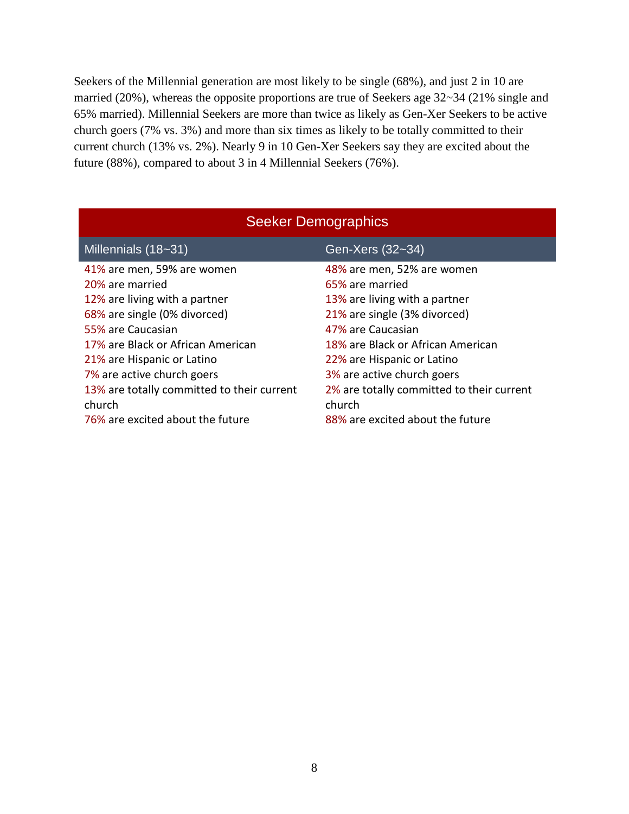Seekers of the Millennial generation are most likely to be single (68%), and just 2 in 10 are married (20%), whereas the opposite proportions are true of Seekers age 32~34 (21% single and 65% married). Millennial Seekers are more than twice as likely as Gen-Xer Seekers to be active church goers (7% vs. 3%) and more than six times as likely to be totally committed to their current church (13% vs. 2%). Nearly 9 in 10 Gen-Xer Seekers say they are excited about the future (88%), compared to about 3 in 4 Millennial Seekers (76%).

| <b>Seeker Demographics</b>                 |                                           |  |  |  |  |  |  |
|--------------------------------------------|-------------------------------------------|--|--|--|--|--|--|
| Millennials (18~31)                        | Gen-Xers (32~34)                          |  |  |  |  |  |  |
| 41% are men, 59% are women                 | 48% are men, 52% are women                |  |  |  |  |  |  |
| 20% are married                            | 65% are married                           |  |  |  |  |  |  |
| 12% are living with a partner              | 13% are living with a partner             |  |  |  |  |  |  |
| 68% are single (0% divorced)               | 21% are single (3% divorced)              |  |  |  |  |  |  |
| 55% are Caucasian                          | 47% are Caucasian                         |  |  |  |  |  |  |
| 17% are Black or African American          | 18% are Black or African American         |  |  |  |  |  |  |
| 21% are Hispanic or Latino                 | 22% are Hispanic or Latino                |  |  |  |  |  |  |
| 7% are active church goers                 | 3% are active church goers                |  |  |  |  |  |  |
| 13% are totally committed to their current | 2% are totally committed to their current |  |  |  |  |  |  |
| church                                     | church                                    |  |  |  |  |  |  |
| 76% are excited about the future           | 88% are excited about the future          |  |  |  |  |  |  |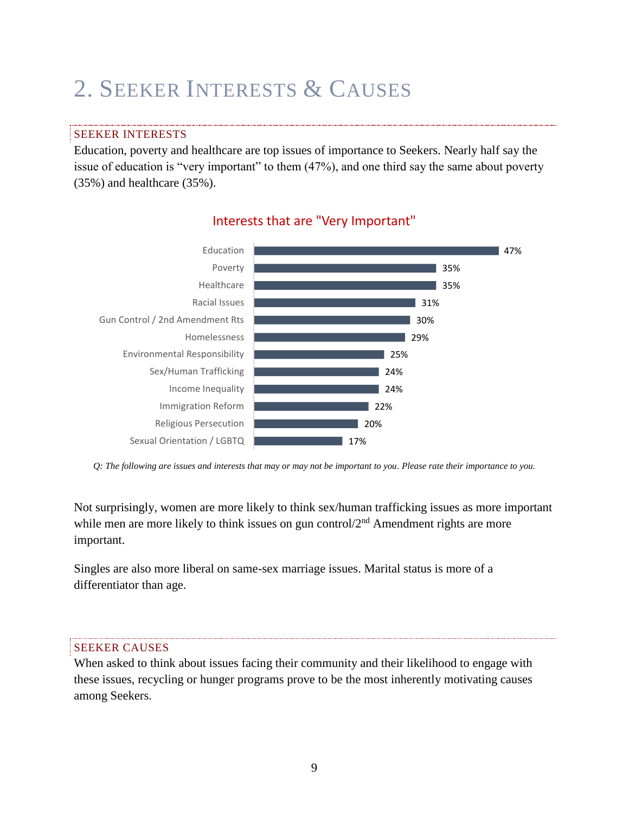# 2. SEEKER INTERESTS & CAUSES

#### SEEKER INTERESTS

Education, poverty and healthcare are top issues of importance to Seekers. Nearly half say the issue of education is "very important" to them (47%), and one third say the same about poverty (35%) and healthcare (35%).



### Interests that are "Very Important"

Not surprisingly, women are more likely to think sex/human trafficking issues as more important while men are more likely to think issues on gun control $2<sup>nd</sup>$  Amendment rights are more important.

Singles are also more liberal on same-sex marriage issues. Marital status is more of a differentiator than age.

#### SEEKER CAUSES

When asked to think about issues facing their community and their likelihood to engage with these issues, recycling or hunger programs prove to be the most inherently motivating causes among Seekers.

*Q: The following are issues and interests that may or may not be important to you. Please rate their importance to you.*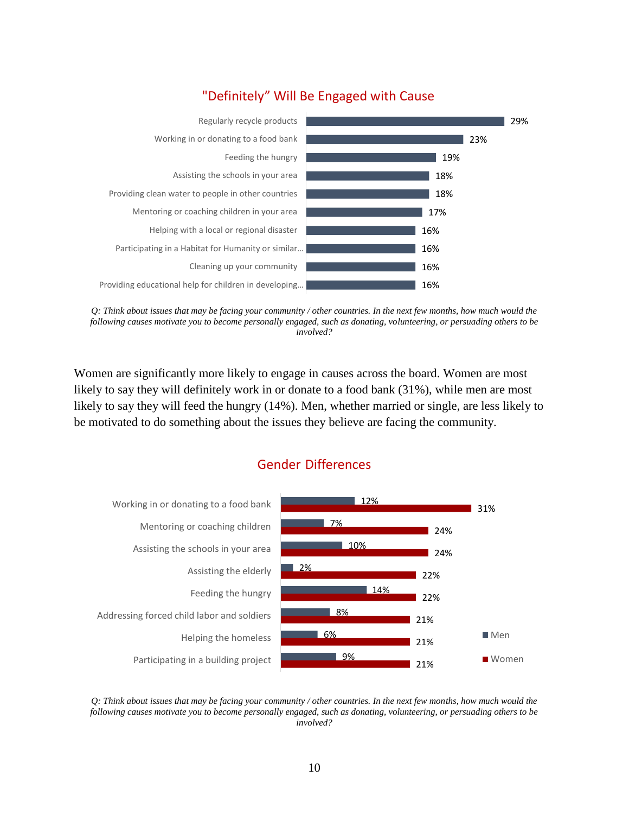

### "Definitely" Will Be Engaged with Cause

*Q: Think about issues that may be facing your community / other countries. In the next few months, how much would the following causes motivate you to become personally engaged, such as donating, volunteering, or persuading others to be involved?*

Women are significantly more likely to engage in causes across the board. Women are most likely to say they will definitely work in or donate to a food bank (31%), while men are most likely to say they will feed the hungry (14%). Men, whether married or single, are less likely to be motivated to do something about the issues they believe are facing the community.

### Gender Differences



*Q: Think about issues that may be facing your community / other countries. In the next few months, how much would the following causes motivate you to become personally engaged, such as donating, volunteering, or persuading others to be involved?*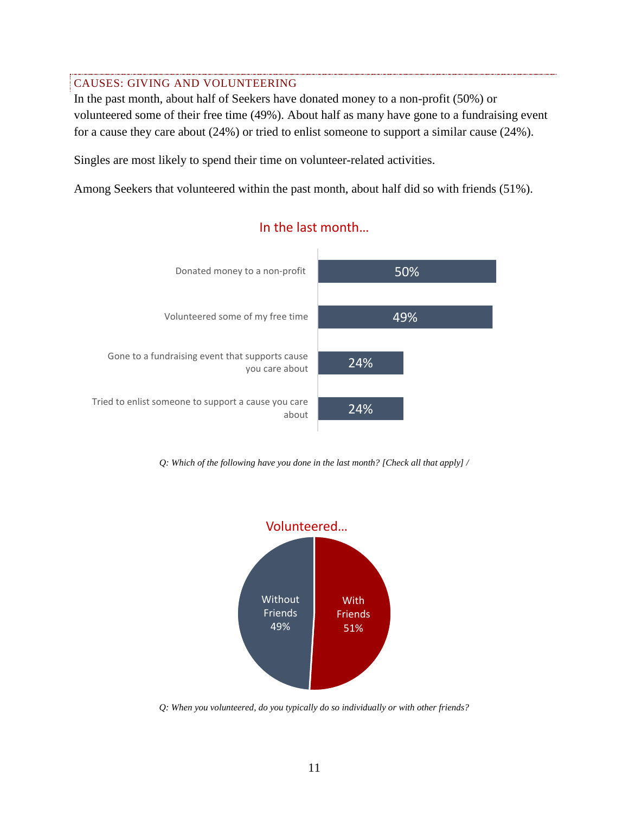#### CAUSES: GIVING AND VOLUNTEERING

In the past month, about half of Seekers have donated money to a non-profit (50%) or volunteered some of their free time (49%). About half as many have gone to a fundraising event for a cause they care about (24%) or tried to enlist someone to support a similar cause (24%).

Singles are most likely to spend their time on volunteer-related activities.

Among Seekers that volunteered within the past month, about half did so with friends (51%).



### In the last month…

*Q: Which of the following have you done in the last month? [Check all that apply] /* 



*Q: When you volunteered, do you typically do so individually or with other friends?*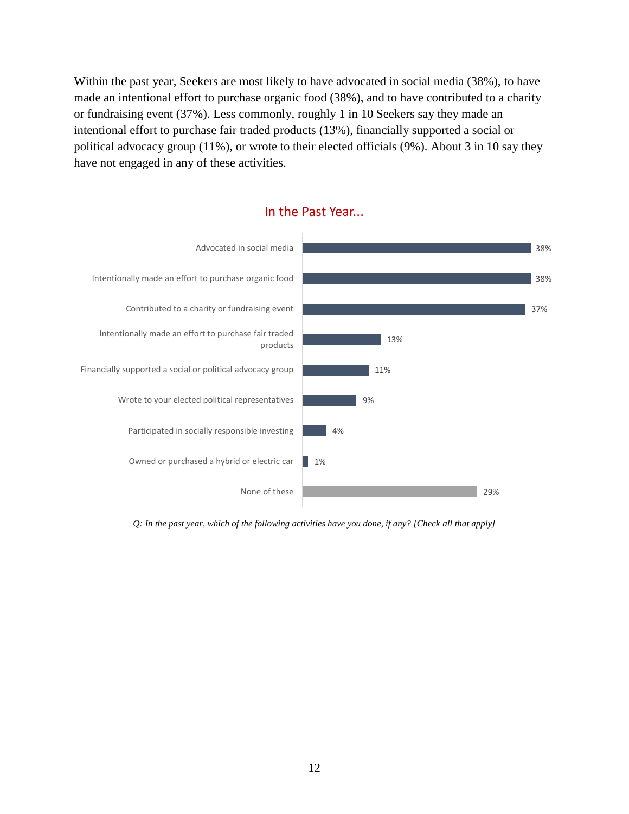Within the past year, Seekers are most likely to have advocated in social media (38%), to have made an intentional effort to purchase organic food (38%), and to have contributed to a charity or fundraising event (37%). Less commonly, roughly 1 in 10 Seekers say they made an intentional effort to purchase fair traded products (13%), financially supported a social or political advocacy group (11%), or wrote to their elected officials (9%). About 3 in 10 say they have not engaged in any of these activities.



*Q: In the past year, which of the following activities have you done, if any? [Check all that apply]*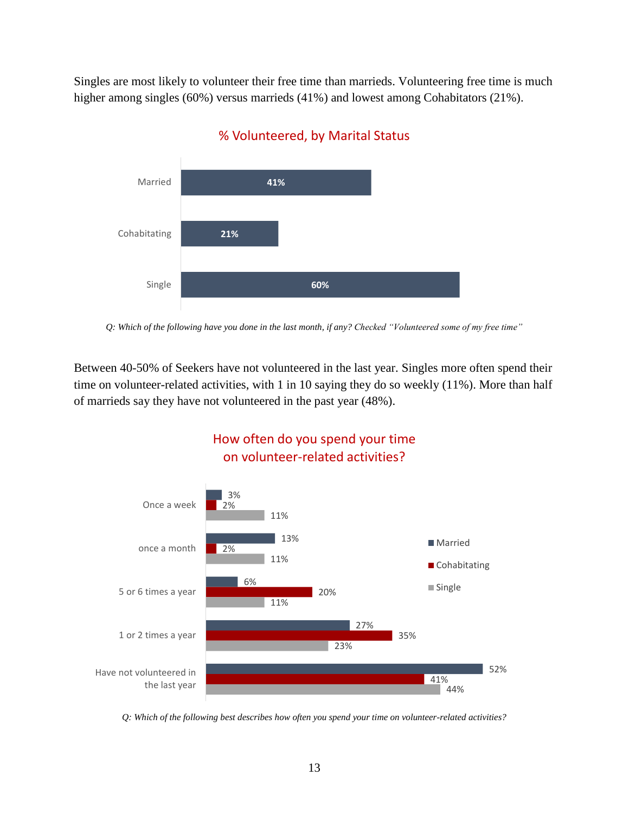Singles are most likely to volunteer their free time than marrieds. Volunteering free time is much higher among singles (60%) versus marrieds (41%) and lowest among Cohabitators (21%).



## % Volunteered, by Marital Status

Between 40-50% of Seekers have not volunteered in the last year. Singles more often spend their time on volunteer-related activities, with 1 in 10 saying they do so weekly (11%). More than half of marrieds say they have not volunteered in the past year (48%).



## How often do you spend your time on volunteer-related activities?

*Q: Which of the following best describes how often you spend your time on volunteer-related activities?*

*Q: Which of the following have you done in the last month, if any? Checked "Volunteered some of my free time"*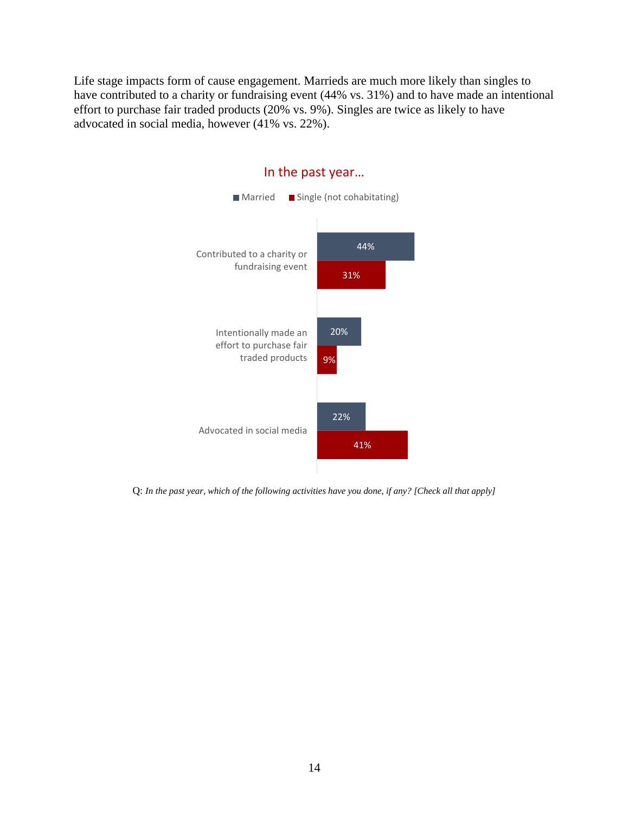Life stage impacts form of cause engagement. Marrieds are much more likely than singles to have contributed to a charity or fundraising event (44% vs. 31%) and to have made an intentional effort to purchase fair traded products (20% vs. 9%). Singles are twice as likely to have advocated in social media, however (41% vs. 22%).



#### In the past year…

Q: *In the past year, which of the following activities have you done, if any? [Check all that apply]*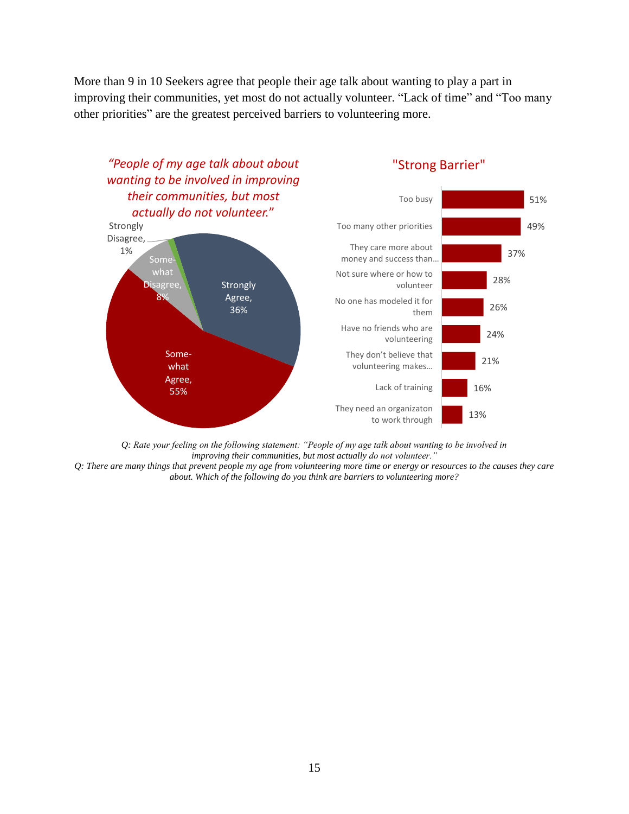More than 9 in 10 Seekers agree that people their age talk about wanting to play a part in improving their communities, yet most do not actually volunteer. "Lack of time" and "Too many other priorities" are the greatest perceived barriers to volunteering more.



*Q: Rate your feeling on the following statement: "People of my age talk about wanting to be involved in improving their communities, but most actually do not volunteer."*

*Q: There are many things that prevent people my age from volunteering more time or energy or resources to the causes they care about. Which of the following do you think are barriers to volunteering more?*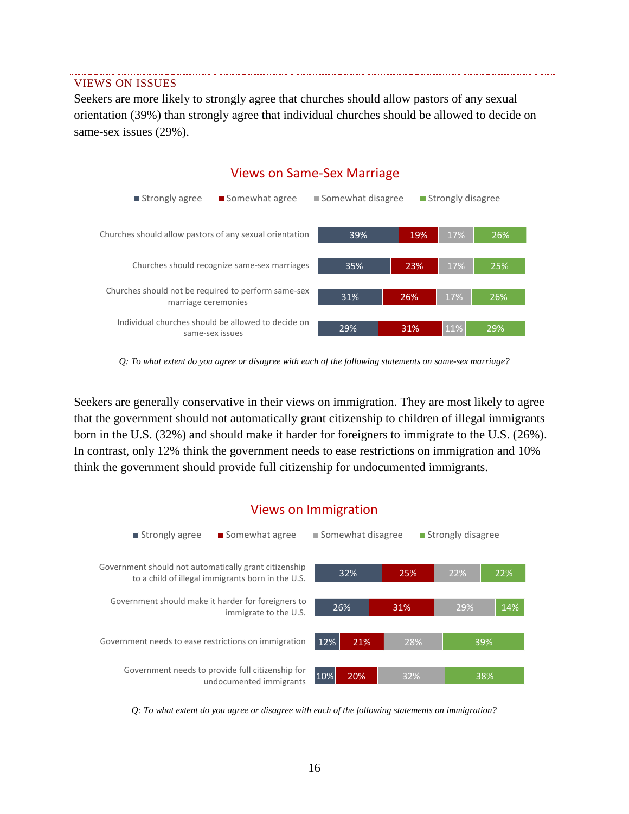VIEWS ON ISSUES

Seekers are more likely to strongly agree that churches should allow pastors of any sexual orientation (39%) than strongly agree that individual churches should be allowed to decide on same-sex issues (29%).



Views on Same-Sex Marriage

*Q: To what extent do you agree or disagree with each of the following statements on same-sex marriage?*

Seekers are generally conservative in their views on immigration. They are most likely to agree that the government should not automatically grant citizenship to children of illegal immigrants born in the U.S. (32%) and should make it harder for foreigners to immigrate to the U.S. (26%). In contrast, only 12% think the government needs to ease restrictions on immigration and 10% think the government should provide full citizenship for undocumented immigrants.



*Q: To what extent do you agree or disagree with each of the following statements on immigration?*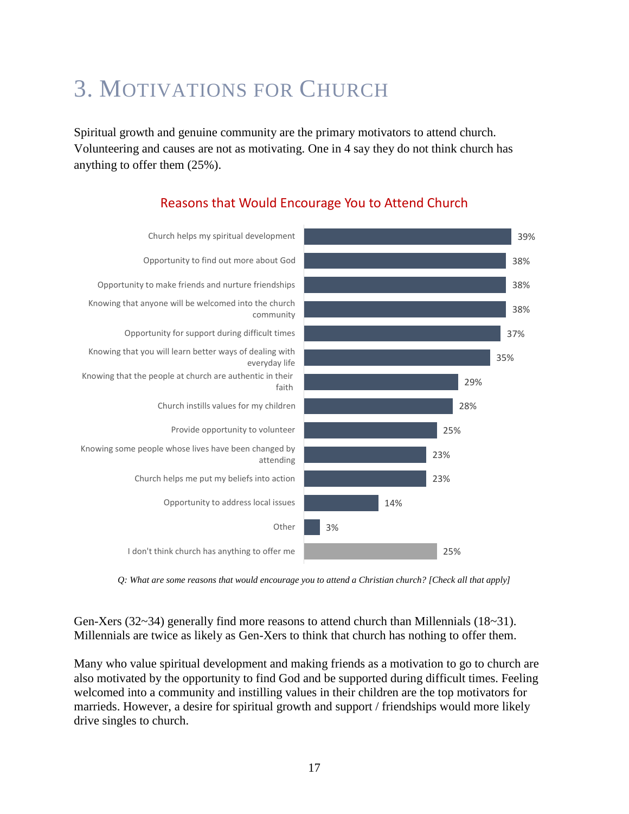# 3. MOTIVATIONS FOR CHURCH

Spiritual growth and genuine community are the primary motivators to attend church. Volunteering and causes are not as motivating. One in 4 say they do not think church has anything to offer them (25%).



## Reasons that Would Encourage You to Attend Church

*Q: What are some reasons that would encourage you to attend a Christian church? [Check all that apply]*

Gen-Xers (32~34) generally find more reasons to attend church than Millennials (18~31). Millennials are twice as likely as Gen-Xers to think that church has nothing to offer them.

Many who value spiritual development and making friends as a motivation to go to church are also motivated by the opportunity to find God and be supported during difficult times. Feeling welcomed into a community and instilling values in their children are the top motivators for marrieds. However, a desire for spiritual growth and support / friendships would more likely drive singles to church.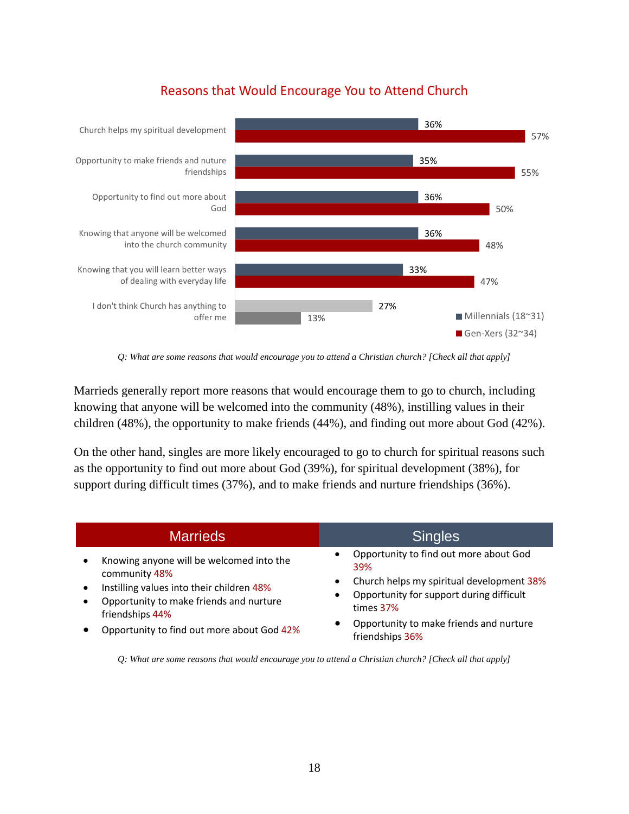



*Q: What are some reasons that would encourage you to attend a Christian church? [Check all that apply]*

Marrieds generally report more reasons that would encourage them to go to church, including knowing that anyone will be welcomed into the community (48%), instilling values in their children (48%), the opportunity to make friends (44%), and finding out more about God (42%).

On the other hand, singles are more likely encouraged to go to church for spiritual reasons such as the opportunity to find out more about God (39%), for spiritual development (38%), for support during difficult times (37%), and to make friends and nurture friendships (36%).

| <b>Marrieds</b>                                                                                                                                                                                                    | <b>Singles</b>                                                                                                                                                                                                                                   |
|--------------------------------------------------------------------------------------------------------------------------------------------------------------------------------------------------------------------|--------------------------------------------------------------------------------------------------------------------------------------------------------------------------------------------------------------------------------------------------|
| Knowing anyone will be welcomed into the<br>community 48%<br>Instilling values into their children 48%<br>Opportunity to make friends and nurture<br>friendships 44%<br>Opportunity to find out more about God 42% | Opportunity to find out more about God<br>$\bullet$<br>39%<br>Church helps my spiritual development 38%<br>$\bullet$<br>Opportunity for support during difficult<br>٠<br>times 37%<br>Opportunity to make friends and nurture<br>friendships 36% |

*Q: What are some reasons that would encourage you to attend a Christian church? [Check all that apply]*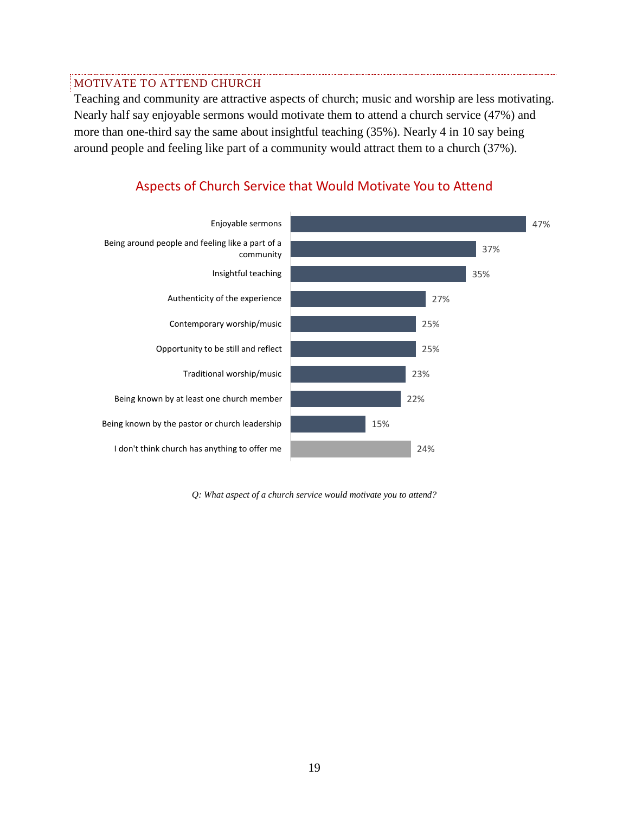#### MOTIVATE TO ATTEND CHURCH

Teaching and community are attractive aspects of church; music and worship are less motivating. Nearly half say enjoyable sermons would motivate them to attend a church service (47%) and more than one-third say the same about insightful teaching (35%). Nearly 4 in 10 say being around people and feeling like part of a community would attract them to a church (37%).



### Aspects of Church Service that Would Motivate You to Attend

*Q: What aspect of a church service would motivate you to attend?*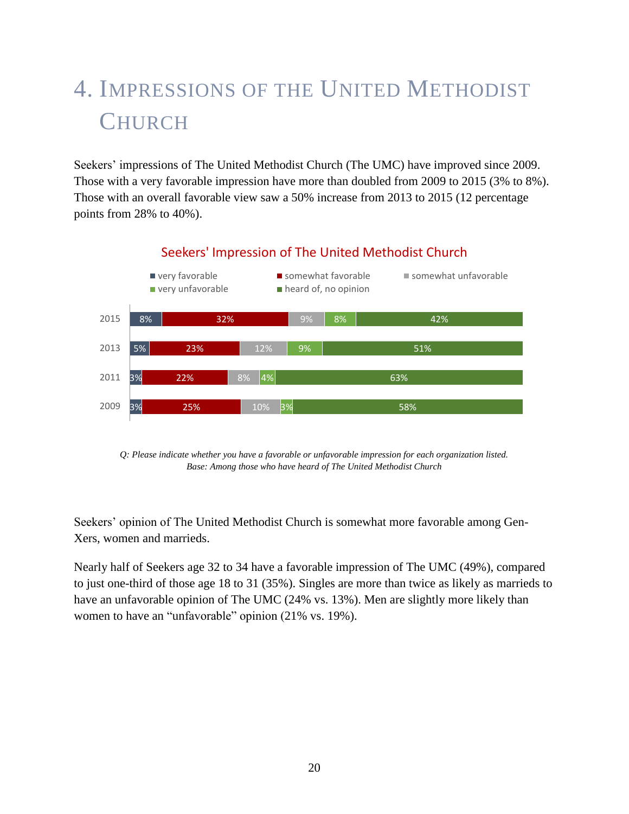# 4. IMPRESSIONS OF THE UNITED METHODIST **CHURCH**

Seekers' impressions of The United Methodist Church (The UMC) have improved since 2009. Those with a very favorable impression have more than doubled from 2009 to 2015 (3% to 8%). Those with an overall favorable view saw a 50% increase from 2013 to 2015 (12 percentage points from 28% to 40%).



## Seekers' Impression of The United Methodist Church

*Q: Please indicate whether you have a favorable or unfavorable impression for each organization listed. Base: Among those who have heard of The United Methodist Church*

Seekers' opinion of The United Methodist Church is somewhat more favorable among Gen-Xers, women and marrieds.

Nearly half of Seekers age 32 to 34 have a favorable impression of The UMC (49%), compared to just one-third of those age 18 to 31 (35%). Singles are more than twice as likely as marrieds to have an unfavorable opinion of The UMC (24% vs. 13%). Men are slightly more likely than women to have an "unfavorable" opinion (21% vs. 19%).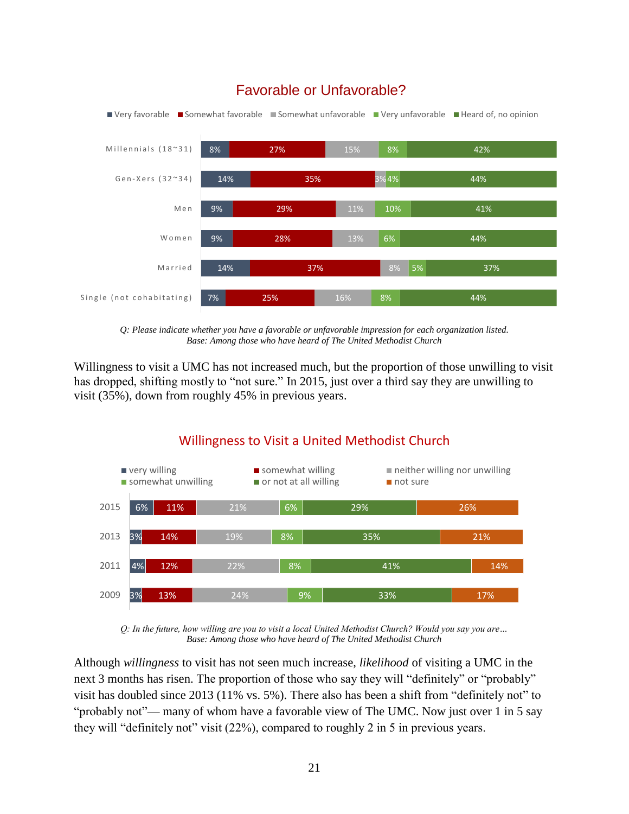

## Favorable or Unfavorable?

*Q: Please indicate whether you have a favorable or unfavorable impression for each organization listed. Base: Among those who have heard of The United Methodist Church*

Willingness to visit a UMC has not increased much, but the proportion of those unwilling to visit has dropped, shifting mostly to "not sure." In 2015, just over a third say they are unwilling to visit (35%), down from roughly 45% in previous years.



## Willingness to Visit a United Methodist Church

*Q: In the future, how willing are you to visit a local United Methodist Church? Would you say you are… Base: Among those who have heard of The United Methodist Church*

Although *willingness* to visit has not seen much increase, *likelihood* of visiting a UMC in the next 3 months has risen. The proportion of those who say they will "definitely" or "probably" visit has doubled since 2013 (11% vs. 5%). There also has been a shift from "definitely not" to "probably not"— many of whom have a favorable view of The UMC. Now just over 1 in 5 say they will "definitely not" visit (22%), compared to roughly 2 in 5 in previous years.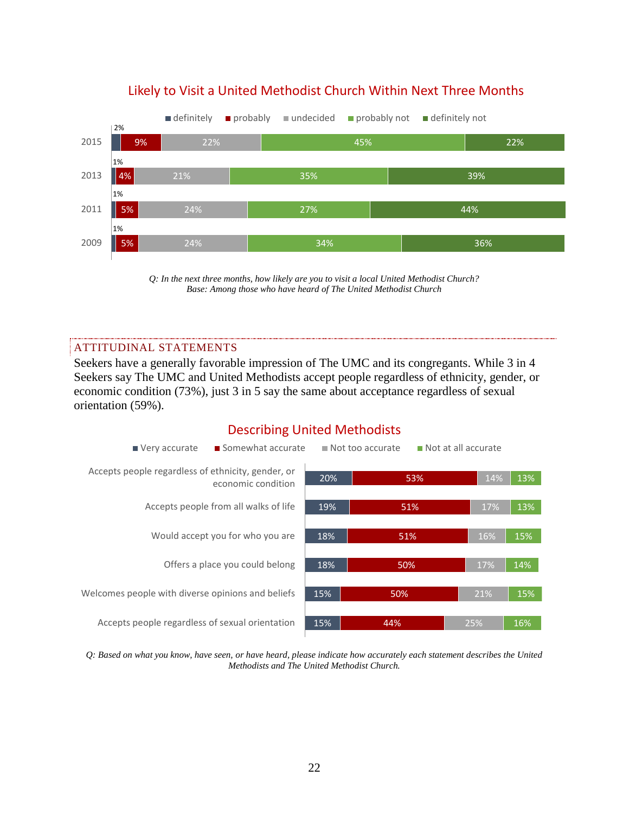

## Likely to Visit a United Methodist Church Within Next Three Months

*Q: In the next three months, how likely are you to visit a local United Methodist Church? Base: Among those who have heard of The United Methodist Church*

#### ATTITUDINAL STATEMENTS

Seekers have a generally favorable impression of The UMC and its congregants. While 3 in 4 Seekers say The UMC and United Methodists accept people regardless of ethnicity, gender, or economic condition (73%), just 3 in 5 say the same about acceptance regardless of sexual orientation (59%).

### Describing United Methodists



*Q: Based on what you know, have seen, or have heard, please indicate how accurately each statement describes the United Methodists and The United Methodist Church.*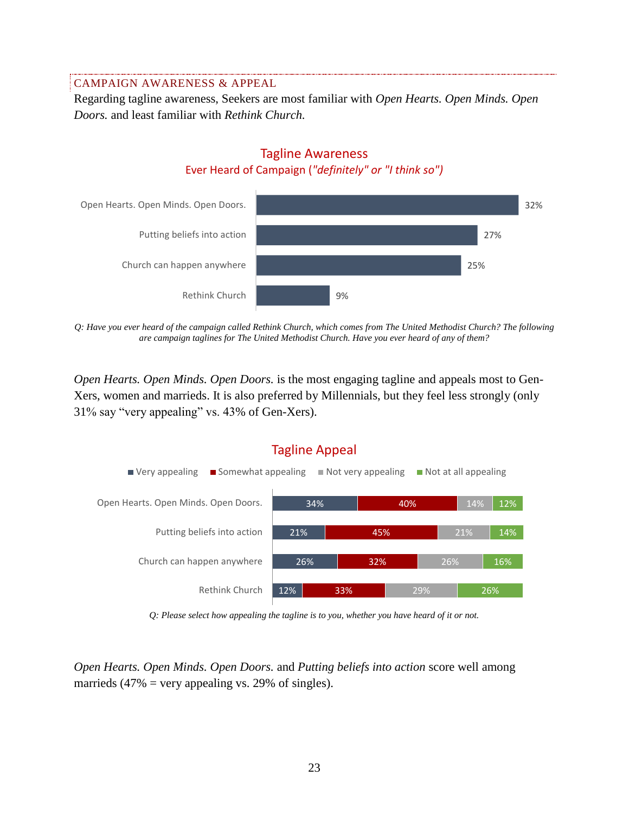#### CAMPAIGN AWARENESS & APPEAL

Regarding tagline awareness, Seekers are most familiar with *Open Hearts. Open Minds. Open Doors.* and least familiar with *Rethink Church.*

### Tagline Awareness Ever Heard of Campaign (*"definitely" or "I think so")*



*Q: Have you ever heard of the campaign called Rethink Church, which comes from The United Methodist Church? The following are campaign taglines for The United Methodist Church. Have you ever heard of any of them?*

*Open Hearts. Open Minds. Open Doors.* is the most engaging tagline and appeals most to Gen-Xers, women and marrieds. It is also preferred by Millennials, but they feel less strongly (only 31% say "very appealing" vs. 43% of Gen-Xers).



*Q: Please select how appealing the tagline is to you, whether you have heard of it or not.*

*Open Hearts. Open Minds. Open Doors.* and *Putting beliefs into action* score well among marrieds  $(47\% = \text{very appealing vs. } 29\% \text{ of single})$ .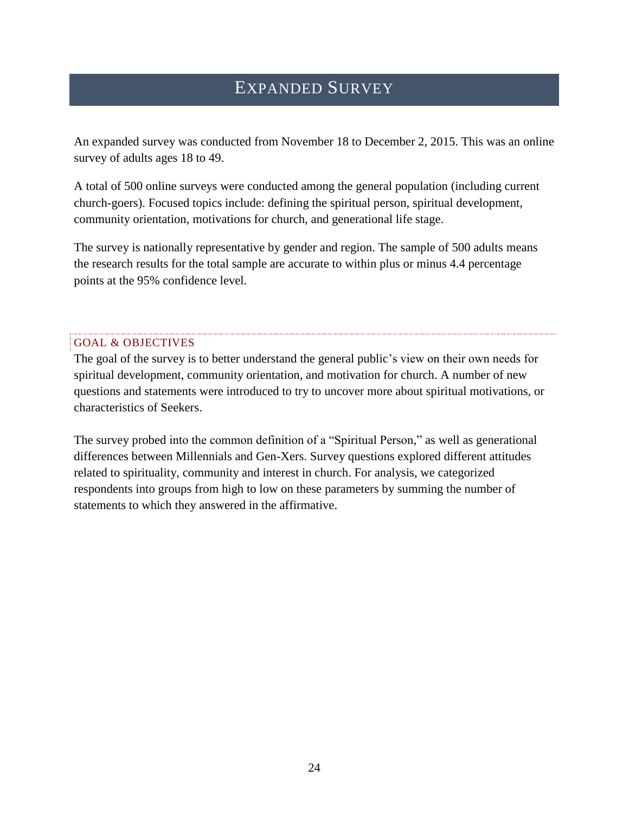# EXPANDED SURVEY

An expanded survey was conducted from November 18 to December 2, 2015. This was an online survey of adults ages 18 to 49.

A total of 500 online surveys were conducted among the general population (including current church-goers). Focused topics include: defining the spiritual person, spiritual development, community orientation, motivations for church, and generational life stage.

The survey is nationally representative by gender and region. The sample of 500 adults means the research results for the total sample are accurate to within plus or minus 4.4 percentage points at the 95% confidence level.

#### GOAL & OBJECTIVES

The goal of the survey is to better understand the general public's view on their own needs for spiritual development, community orientation, and motivation for church. A number of new questions and statements were introduced to try to uncover more about spiritual motivations, or characteristics of Seekers.

The survey probed into the common definition of a "Spiritual Person," as well as generational differences between Millennials and Gen-Xers. Survey questions explored different attitudes related to spirituality, community and interest in church. For analysis, we categorized respondents into groups from high to low on these parameters by summing the number of statements to which they answered in the affirmative.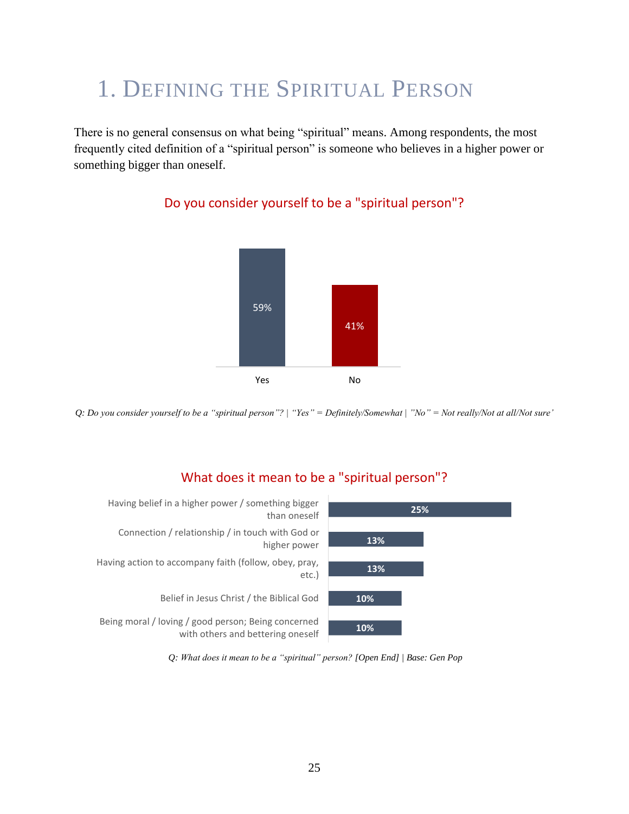# 1. DEFINING THE SPIRITUAL PERSON

There is no general consensus on what being "spiritual" means. Among respondents, the most frequently cited definition of a "spiritual person" is someone who believes in a higher power or something bigger than oneself.



## Do you consider yourself to be a "spiritual person"?

*Q: Do you consider yourself to be a "spiritual person"? | "Yes" = Definitely/Somewhat | "No" = Not really/Not at all/Not sure'*

## What does it mean to be a "spiritual person"?



*Q: What does it mean to be a "spiritual" person? [Open End] | Base: Gen Pop*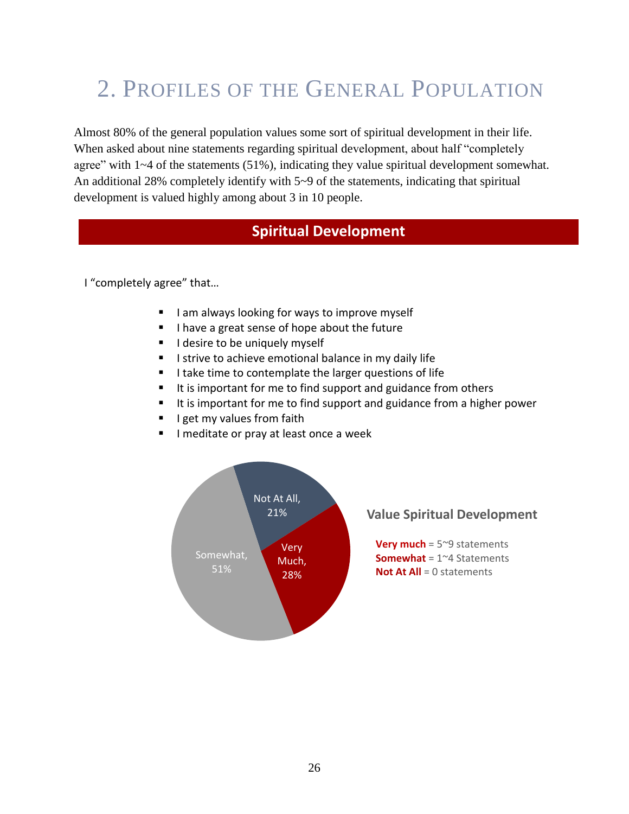# 2. PROFILES OF THE GENERAL POPULATION

Almost 80% of the general population values some sort of spiritual development in their life. When asked about nine statements regarding spiritual development, about half "completely agree" with 1~4 of the statements (51%), indicating they value spiritual development somewhat. An additional 28% completely identify with 5~9 of the statements, indicating that spiritual development is valued highly among about 3 in 10 people.

## **Spiritual Development**

I "completely agree" that…

- I am always looking for ways to improve myself
- I have a great sense of hope about the future
- **I** desire to be uniquely myself
- I strive to achieve emotional balance in my daily life
- **I take time to contemplate the larger questions of life**
- It is important for me to find support and guidance from others
- It is important for me to find support and guidance from a higher power
- $\blacksquare$  I get my values from faith
- **I meditate or pray at least once a week**

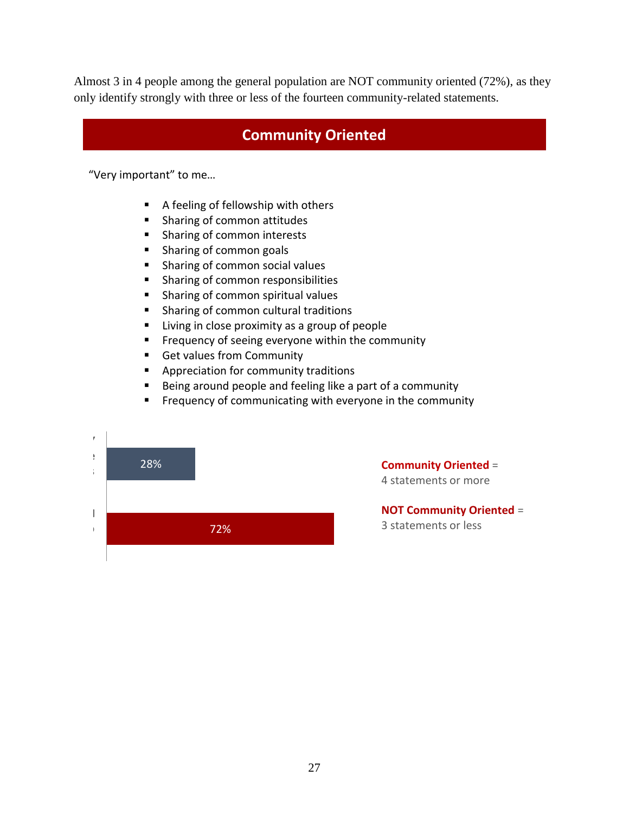Almost 3 in 4 people among the general population are NOT community oriented (72%), as they only identify strongly with three or less of the fourteen community-related statements.

## **Community Oriented**

"Very important" to me…

- A feeling of fellowship with others
- **Sharing of common attitudes**
- **Sharing of common interests**
- **Sharing of common goals**
- **Sharing of common social values**
- **Sharing of common responsibilities**
- **Sharing of common spiritual values**
- **Sharing of common cultural traditions**
- **Example 1** Living in close proximity as a group of people
- **Filter** Frequency of seeing everyone within the community
- Get values from Community
- **Appreciation for community traditions**
- Being around people and feeling like a part of a community
- **Filter** Frequency of communicating with everyone in the community



**Community Oriented** = 4 statements or more

**NOT Community Oriented** = 3 statements or less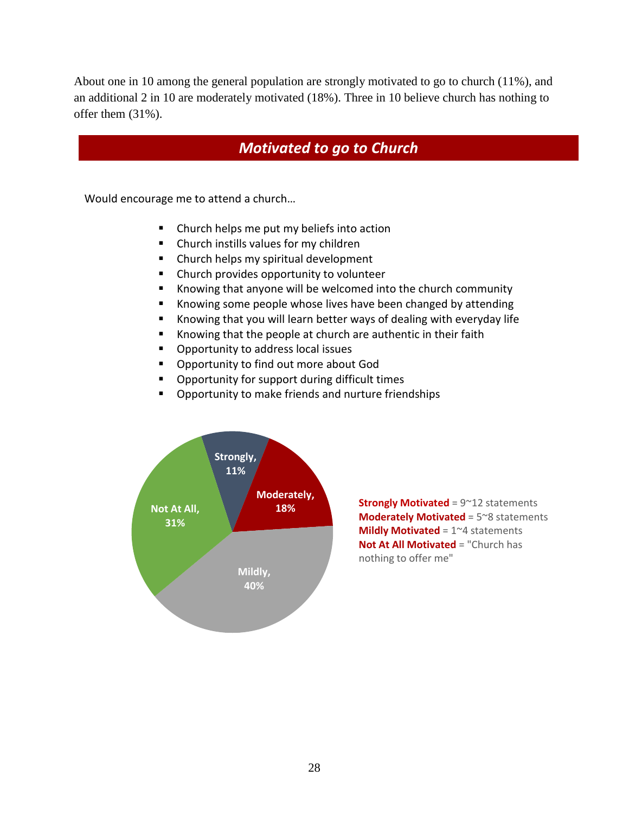About one in 10 among the general population are strongly motivated to go to church (11%), and an additional 2 in 10 are moderately motivated (18%). Three in 10 believe church has nothing to offer them (31%).

## *Motivated to go to Church*

Would encourage me to attend a church…

- **EXTE:** Church helps me put my beliefs into action
- **EXT** Church instills values for my children
- **EX Church helps my spiritual development**
- Church provides opportunity to volunteer
- Knowing that anyone will be welcomed into the church community
- **K** Knowing some people whose lives have been changed by attending
- Knowing that you will learn better ways of dealing with everyday life
- Knowing that the people at church are authentic in their faith
- **•** Opportunity to address local issues
- **Opportunity to find out more about God**
- **•** Opportunity for support during difficult times
- **•** Opportunity to make friends and nurture friendships



**Strongly Motivated** = 9~12 statements **Moderately Motivated** = 5~8 statements **Mildly Motivated** = 1~4 statements **Not At All Motivated** = "Church has nothing to offer me"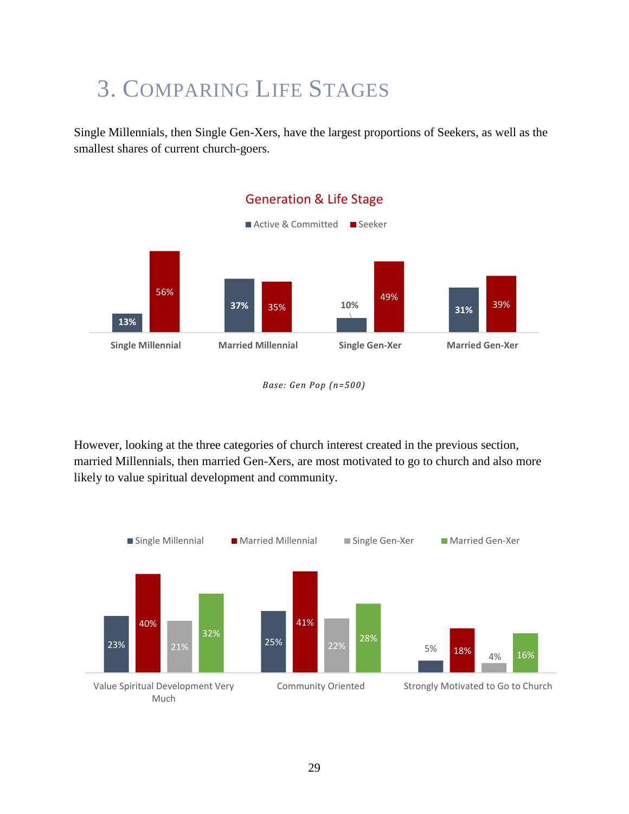# 3. COMPARING LIFE STAGES

Single Millennials, then Single Gen-Xers, have the largest proportions of Seekers, as well as the smallest shares of current church-goers.



*Base: Gen Pop (n=500)*

However, looking at the three categories of church interest created in the previous section, married Millennials, then married Gen-Xers, are most motivated to go to church and also more likely to value spiritual development and community.

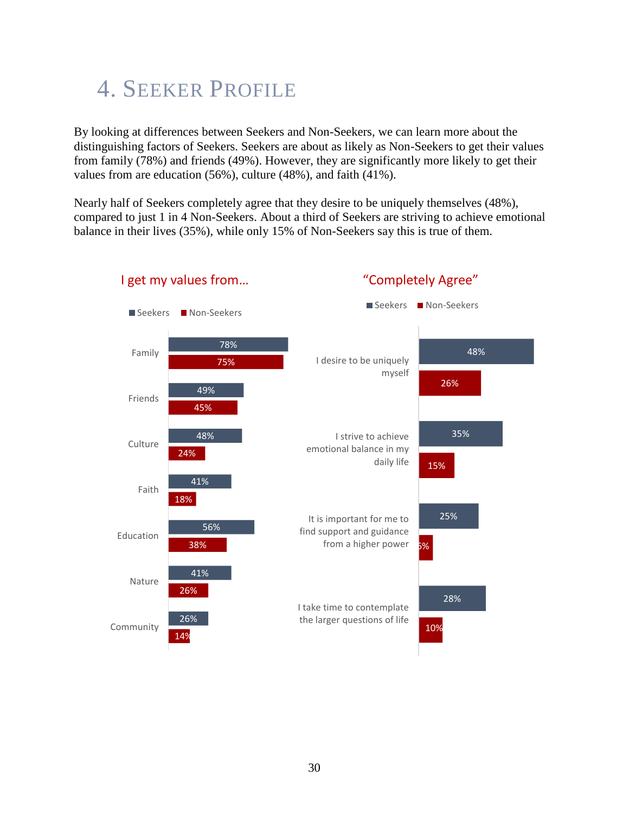# 4. SEEKER PROFILE

By looking at differences between Seekers and Non-Seekers, we can learn more about the distinguishing factors of Seekers. Seekers are about as likely as Non-Seekers to get their values from family (78%) and friends (49%). However, they are significantly more likely to get their values from are education (56%), culture (48%), and faith (41%).

Nearly half of Seekers completely agree that they desire to be uniquely themselves (48%), compared to just 1 in 4 Non-Seekers. About a third of Seekers are striving to achieve emotional balance in their lives (35%), while only 15% of Non-Seekers say this is true of them.



## I get my values from…

## "Completely Agree"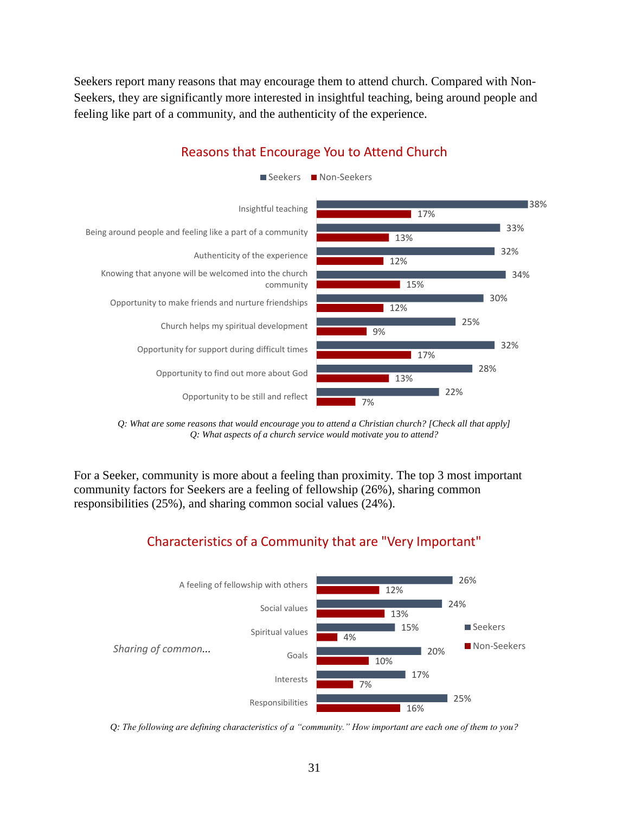Seekers report many reasons that may encourage them to attend church. Compared with Non-Seekers, they are significantly more interested in insightful teaching, being around people and feeling like part of a community, and the authenticity of the experience.



### Reasons that Encourage You to Attend Church

*Q: What are some reasons that would encourage you to attend a Christian church? [Check all that apply] Q: What aspects of a church service would motivate you to attend?*

For a Seeker, community is more about a feeling than proximity. The top 3 most important community factors for Seekers are a feeling of fellowship (26%), sharing common responsibilities (25%), and sharing common social values (24%).

## Characteristics of a Community that are "Very Important"



*Q: The following are defining characteristics of a "community." How important are each one of them to you?*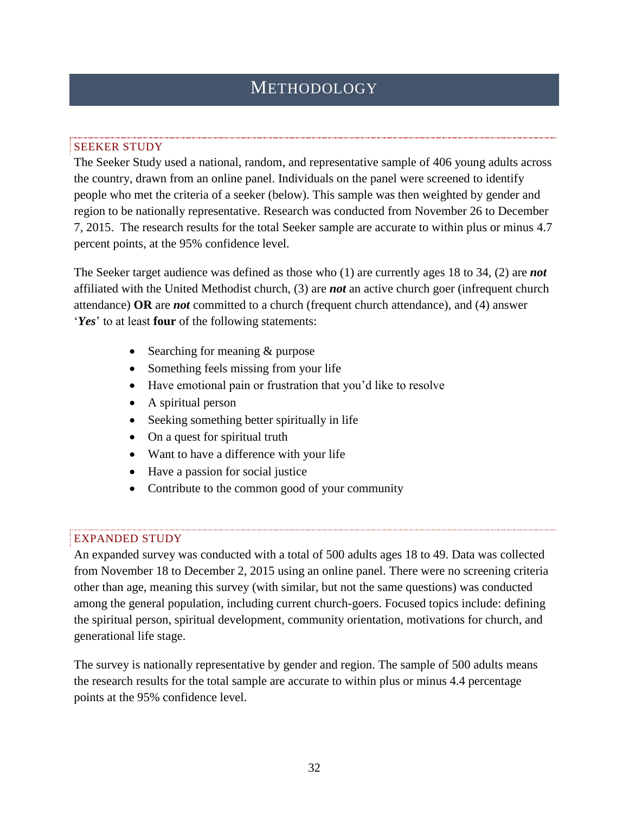# **METHODOLOGY**

#### SEEKER STUDY

The Seeker Study used a national, random, and representative sample of 406 young adults across the country, drawn from an online panel. Individuals on the panel were screened to identify people who met the criteria of a seeker (below). This sample was then weighted by gender and region to be nationally representative. Research was conducted from November 26 to December 7, 2015. The research results for the total Seeker sample are accurate to within plus or minus 4.7 percent points, at the 95% confidence level.

The Seeker target audience was defined as those who (1) are currently ages 18 to 34, (2) are *not* affiliated with the United Methodist church, (3) are *not* an active church goer (infrequent church attendance) **OR** are *not* committed to a church (frequent church attendance), and (4) answer '*Yes*' to at least **four** of the following statements:

- Searching for meaning & purpose
- Something feels missing from your life
- Have emotional pain or frustration that you'd like to resolve
- A spiritual person
- Seeking something better spiritually in life
- On a quest for spiritual truth
- Want to have a difference with your life
- Have a passion for social justice
- Contribute to the common good of your community

#### EXPANDED STUDY

An expanded survey was conducted with a total of 500 adults ages 18 to 49. Data was collected from November 18 to December 2, 2015 using an online panel. There were no screening criteria other than age, meaning this survey (with similar, but not the same questions) was conducted among the general population, including current church-goers. Focused topics include: defining the spiritual person, spiritual development, community orientation, motivations for church, and generational life stage.

The survey is nationally representative by gender and region. The sample of 500 adults means the research results for the total sample are accurate to within plus or minus 4.4 percentage points at the 95% confidence level.